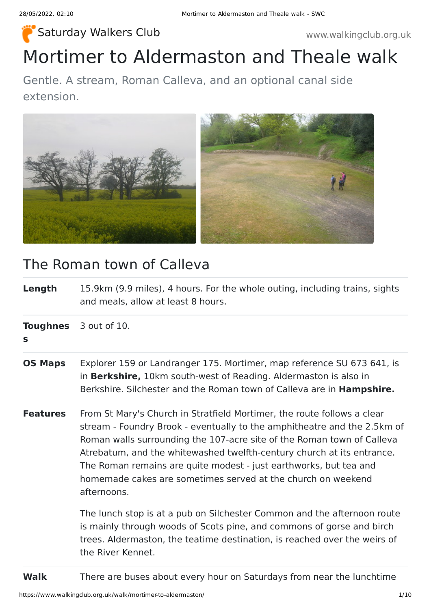### [Saturday Walkers Club](https://www.walkingclub.org.uk/) www.walkingclub.org.uk

# Mortimer to Aldermaston and Theale walk

Gentle. A stream, Roman Calleva, and an optional canal side extension.



### The Roman town of Calleva

**Length** 15.9km (9.9 miles), 4 hours. For the whole outing, including trains, sights and meals, allow at least 8 hours.

**Toughnes** 3 out of 10.

### **s**

- **OS Maps** Explorer 159 or Landranger 175. Mortimer, map reference SU 673 641, is in **Berkshire,** 10km south-west of Reading. Aldermaston is also in Berkshire. Silchester and the Roman town of Calleva are in **Hampshire.**
- **Features** From St Mary's Church in Stratfield Mortimer, the route follows a clear stream - Foundry Brook - eventually to the amphitheatre and the 2.5km of Roman walls surrounding the 107-acre site of the Roman town of Calleva Atrebatum, and the whitewashed twelfth-century church at its entrance. The Roman remains are quite modest - just earthworks, but tea and homemade cakes are sometimes served at the church on weekend afternoons.

The lunch stop is at a pub on Silchester Common and the afternoon route is mainly through woods of Scots pine, and commons of gorse and birch trees. Aldermaston, the teatime destination, is reached over the weirs of the River Kennet.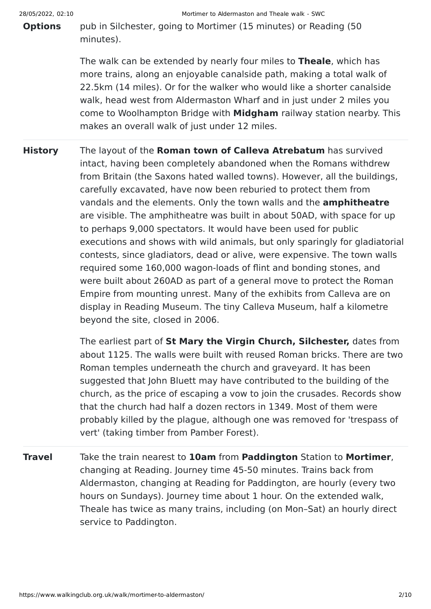**Options** pub in Silchester, going to Mortimer (15 minutes) or Reading (50 minutes).

> The walk can be extended by nearly four miles to **Theale**, which has more trains, along an enjoyable canalside path, making a total walk of 22.5km (14 miles). Or for the walker who would like a shorter canalside walk, head west from Aldermaston Wharf and in just under 2 miles you come to Woolhampton Bridge with **Midgham** railway station nearby. This makes an overall walk of just under 12 miles.

**History** The layout of the **Roman town of Calleva Atrebatum** has survived intact, having been completely abandoned when the Romans withdrew from Britain (the Saxons hated walled towns). However, all the buildings, carefully excavated, have now been reburied to protect them from vandals and the elements. Only the town walls and the **amphitheatre** are visible. The amphitheatre was built in about 50AD, with space for up to perhaps 9,000 spectators. It would have been used for public executions and shows with wild animals, but only sparingly for gladiatorial contests, since gladiators, dead or alive, were expensive. The town walls required some 160,000 wagon-loads of flint and bonding stones, and were built about 260AD as part of a general move to protect the Roman Empire from mounting unrest. Many of the exhibits from Calleva are on display in Reading Museum. The tiny Calleva Museum, half a kilometre beyond the site, closed in 2006.

> The earliest part of **St Mary the Virgin Church, Silchester,** dates from about 1125. The walls were built with reused Roman bricks. There are two Roman temples underneath the church and graveyard. It has been suggested that John Bluett may have contributed to the building of the church, as the price of escaping a vow to join the crusades. Records show that the church had half a dozen rectors in 1349. Most of them were probably killed by the plague, although one was removed for 'trespass of vert' (taking timber from Pamber Forest).

**Travel** Take the train nearest to **10am** from **Paddington** Station to **Mortimer**, changing at Reading. Journey time 45-50 minutes. Trains back from Aldermaston, changing at Reading for Paddington, are hourly (every two hours on Sundays). Journey time about 1 hour. On the extended walk, Theale has twice as many trains, including (on Mon–Sat) an hourly direct service to Paddington.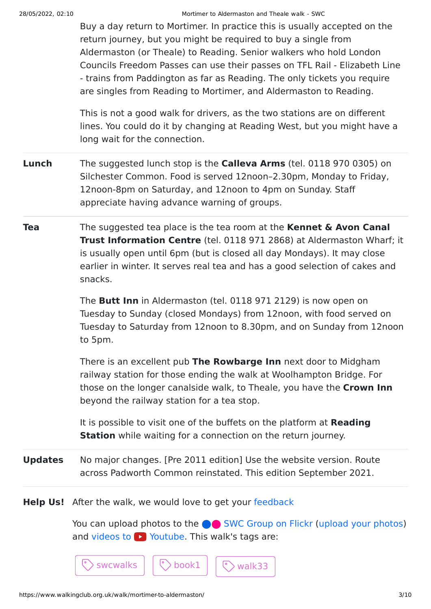#### 28/05/2022, 02:10 Mortimer to Aldermaston and Theale walk - SWC

Buy a day return to Mortimer. In practice this is usually accepted on the return journey, but you might be required to buy a single from Aldermaston (or Theale) to Reading. Senior walkers who hold London Councils Freedom Passes can use their passes on TFL Rail - Elizabeth Line - trains from Paddington as far as Reading. The only tickets you require are singles from Reading to Mortimer, and Aldermaston to Reading.

This is not a good walk for drivers, as the two stations are on different lines. You could do it by changing at Reading West, but you might have a long wait for the connection.

- **Lunch** The suggested lunch stop is the **Calleva Arms** (tel. 0118 970 0305) on Silchester Common. Food is served 12noon–2.30pm, Monday to Friday, 12noon-8pm on Saturday, and 12noon to 4pm on Sunday. Staff appreciate having advance warning of groups.
- **Tea** The suggested tea place is the tea room at the **Kennet & Avon Canal Trust Information Centre** (tel. 0118 971 2868) at Aldermaston Wharf; it is usually open until 6pm (but is closed all day Mondays). It may close earlier in winter. It serves real tea and has a good selection of cakes and snacks.

The **Butt Inn** in Aldermaston (tel. 0118 971 2129) is now open on Tuesday to Sunday (closed Mondays) from 12noon, with food served on Tuesday to Saturday from 12noon to 8.30pm, and on Sunday from 12noon to 5pm.

There is an excellent pub **The Rowbarge Inn** next door to Midgham railway station for those ending the walk at Woolhampton Bridge. For those on the longer canalside walk, to Theale, you have the **Crown Inn** beyond the railway station for a tea stop.

It is possible to visit one of the buffets on the platform at **Reading Station** while waiting for a connection on the return journey.

**Updates** No major changes. [Pre 2011 edition] Use the website version. Route across Padworth Common reinstated. This edition September 2021.

**Help Us!** After the walk, we would love to get your [feedback](https://www.walkingclub.org.uk/walk/mortimer-to-aldermaston/comments.html)

You can upload photos to the **ve** [SWC Group on Flickr](http://www.flickr.com/groups/swc) [\(upload your photos\)](https://www.walkingclub.org.uk/photos/upload_your_photos.shtml) and videos to  $\triangleright$  Youtube. This walk's tags are: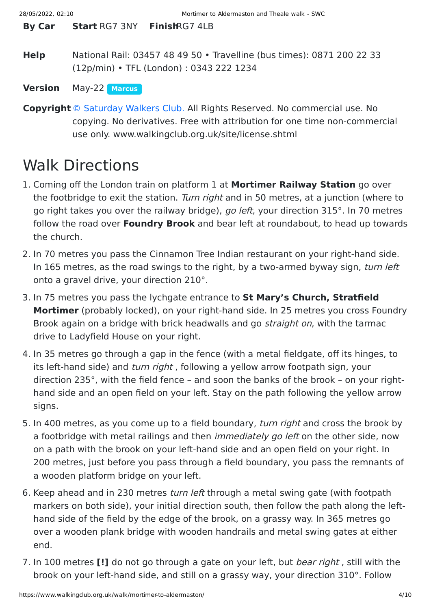**By Car Start** RG7 3NY **Finish**RG7 4LB

**Help** National Rail: 03457 48 49 50 • Travelline (bus times): 0871 200 22 33 (12p/min) • TFL (London) : 0343 222 1234

**Version** May-22 **[Marcus](https://www.walkingclub.org.uk/walks/marcus.html)**

**Copyright**[© Saturday Walkers Club.](https://www.walkingclub.org.uk/site/license.shtml) All Rights Reserved. No commercial use. No copying. No derivatives. Free with attribution for one time non-commercial use only. www.walkingclub.org.uk/site/license.shtml

## Walk Directions

- 1. Coming off the London train on platform 1 at **Mortimer Railway Station** go over the footbridge to exit the station. Turn right and in 50 metres, at a junction (where to go right takes you over the railway bridge), go left, your direction 315°. In 70 metres follow the road over **Foundry Brook** and bear left at roundabout, to head up towards the church.
- 2. In 70 metres you pass the Cinnamon Tree Indian restaurant on your right-hand side. In 165 metres, as the road swings to the right, by a two-armed byway sign, turn left onto a gravel drive, your direction 210°.
- 3. In 75 metres you pass the lychgate entrance to **St Mary's Church, Stratfield Mortimer** (probably locked), on your right-hand side. In 25 metres you cross Foundry Brook again on a bridge with brick headwalls and go *straight on*, with the tarmac drive to Ladyfield House on your right.
- 4. In 35 metres go through a gap in the fence (with a metal fieldgate, off its hinges, to its left-hand side) and turn right, following a yellow arrow footpath sign, your direction 235°, with the field fence – and soon the banks of the brook – on your righthand side and an open field on your left. Stay on the path following the yellow arrow signs.
- 5. In 400 metres, as you come up to a field boundary, *turn right* and cross the brook by a footbridge with metal railings and then *immediately go left* on the other side, now on a path with the brook on your left-hand side and an open field on your right. In 200 metres, just before you pass through a field boundary, you pass the remnants of a wooden platform bridge on your left.
- 6. Keep ahead and in 230 metres turn left through a metal swing gate (with footpath markers on both side), your initial direction south, then follow the path along the lefthand side of the field by the edge of the brook, on a grassy way. In 365 metres go over a wooden plank bridge with wooden handrails and metal swing gates at either end.
- 7. In 100 metres **[!]** do not go through a gate on your left, but bear right , still with the brook on your left-hand side, and still on a grassy way, your direction 310°. Follow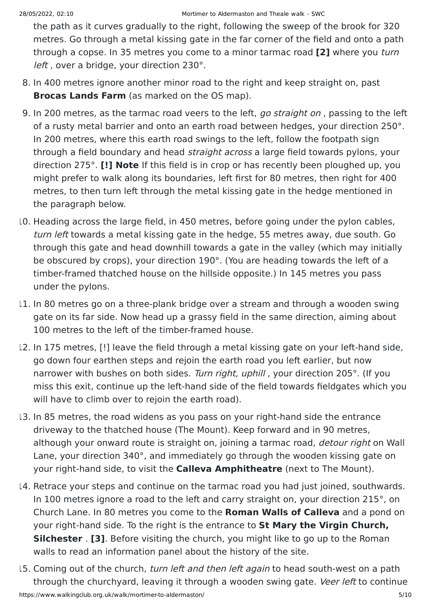the path as it curves gradually to the right, following the sweep of the brook for 320 metres. Go through a metal kissing gate in the far corner of the field and onto a path through a copse. In 35 metres you come to a minor tarmac road **[2]** where you turn left, over a bridge, your direction 230°.

- 8. In 400 metres ignore another minor road to the right and keep straight on, past **Brocas Lands Farm** (as marked on the OS map).
- 9. In 200 metres, as the tarmac road veers to the left, go straight on, passing to the left of a rusty metal barrier and onto an earth road between hedges, your direction 250°. In 200 metres, where this earth road swings to the left, follow the footpath sign through a field boundary and head straight across a large field towards pylons, your direction 275°. **[!] Note** If this field is in crop or has recently been ploughed up, you might prefer to walk along its boundaries, left first for 80 metres, then right for 400 metres, to then turn left through the metal kissing gate in the hedge mentioned in the paragraph below.
- 10. Heading across the large field, in 450 metres, before going under the pylon cables, turn left towards a metal kissing gate in the hedge, 55 metres away, due south. Go through this gate and head downhill towards a gate in the valley (which may initially be obscured by crops), your direction 190°. (You are heading towards the left of a timber-framed thatched house on the hillside opposite.) In 145 metres you pass under the pylons.
- 11. In 80 metres go on a three-plank bridge over a stream and through a wooden swing gate on its far side. Now head up a grassy field in the same direction, aiming about 100 metres to the left of the timber-framed house.
- 12. In 175 metres, [!] leave the field through a metal kissing gate on your left-hand side, go down four earthen steps and rejoin the earth road you left earlier, but now narrower with bushes on both sides. Turn right, uphill, your direction 205°. (If you miss this exit, continue up the left-hand side of the field towards fieldgates which you will have to climb over to rejoin the earth road).
- 13. In 85 metres, the road widens as you pass on your right-hand side the entrance driveway to the thatched house (The Mount). Keep forward and in 90 metres, although your onward route is straight on, joining a tarmac road, *detour right* on Wall Lane, your direction 340°, and immediately go through the wooden kissing gate on your right-hand side, to visit the **Calleva Amphitheatre** (next to The Mount).
- 14. Retrace your steps and continue on the tarmac road you had just joined, southwards. In 100 metres ignore a road to the left and carry straight on, your direction 215°, on Church Lane. In 80 metres you come to the **Roman Walls of Calleva** and a pond on your right-hand side. To the right is the entrance to **St Mary the Virgin Church, Silchester** . **[3]**. Before visiting the church, you might like to go up to the Roman walls to read an information panel about the history of the site.
- https://www.walkingclub.org.uk/walk/mortimer-to-aldermaston/ 5/10 15. Coming out of the church, turn left and then left again to head south-west on a path through the churchyard, leaving it through a wooden swing gate. Veer left to continue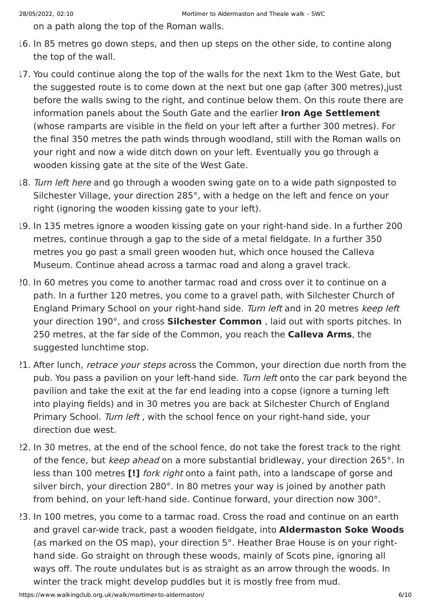on a path along the top of the Roman walls.

- 16. In 85 metres go down steps, and then up steps on the other side, to contine along the top of the wall.
- 17. You could continue along the top of the walls for the next 1km to the West Gate, but the suggested route is to come down at the next but one gap (after 300 metres),just before the walls swing to the right, and continue below them. On this route there are information panels about the South Gate and the earlier **Iron Age Settlement** (whose ramparts are visible in the field on your left after a further 300 metres). For the final 350 metres the path winds through woodland, still with the Roman walls on your right and now a wide ditch down on your left. Eventually you go through a wooden kissing gate at the site of the West Gate.
- 18. Turn left here and go through a wooden swing gate on to a wide path signposted to Silchester Village, your direction 285°, with a hedge on the left and fence on your right (ignoring the wooden kissing gate to your left).
- 19. In 135 metres ignore a wooden kissing gate on your right-hand side. In a further 200 metres, continue through a gap to the side of a metal fieldgate. In a further 350 metres you go past a small green wooden hut, which once housed the Calleva Museum. Continue ahead across a tarmac road and along a gravel track.
- 20. In 60 metres you come to another tarmac road and cross over it to continue on a path. In a further 120 metres, you come to a gravel path, with Silchester Church of England Primary School on your right-hand side. Turn left and in 20 metres keep left your direction 190°, and cross **Silchester Common** , laid out with sports pitches. In 250 metres, at the far side of the Common, you reach the **Calleva Arms**, the suggested lunchtime stop.
- 21. After lunch, retrace your steps across the Common, your direction due north from the pub. You pass a pavilion on your left-hand side. Turn left onto the car park beyond the pavilion and take the exit at the far end leading into a copse (ignore a turning left into playing fields) and in 30 metres you are back at Silchester Church of England Primary School. Turn left, with the school fence on your right-hand side, your direction due west.
- 22. In 30 metres, at the end of the school fence, do not take the forest track to the right of the fence, but keep ahead on a more substantial bridleway, your direction 265°. In less than 100 metres **[!]** fork right onto a faint path, into a landscape of gorse and silver birch, your direction 280°. In 80 metres your way is joined by another path from behind, on your left-hand side. Continue forward, your direction now 300°.
- 23. In 100 metres, you come to a tarmac road. Cross the road and continue on an earth and gravel car-wide track, past a wooden fieldgate, into **Aldermaston Soke Woods** (as marked on the OS map), your direction 5°. Heather Brae House is on your righthand side. Go straight on through these woods, mainly of Scots pine, ignoring all ways off. The route undulates but is as straight as an arrow through the woods. In winter the track might develop puddles but it is mostly free from mud.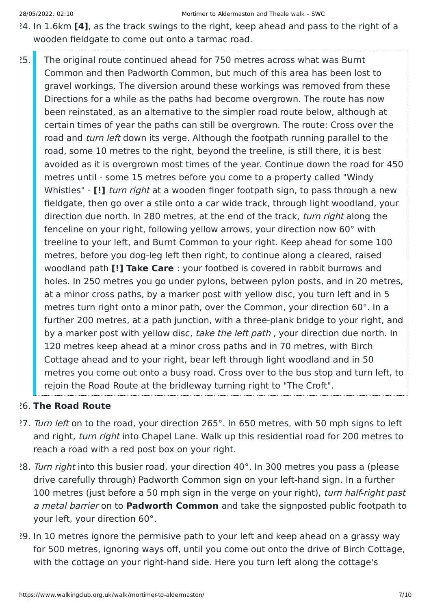- 24. In 1.6km **[4]**, as the track swings to the right, keep ahead and pass to the right of a wooden fieldgate to come out onto a tarmac road.
- 25. The original route continued ahead for 750 metres across what was Burnt Common and then Padworth Common, but much of this area has been lost to gravel workings. The diversion around these workings was removed from these Directions for a while as the paths had become overgrown. The route has now been reinstated, as an alternative to the simpler road route below, although at certain times of year the paths can still be overgrown. The route: Cross over the road and turn left down its verge. Although the footpath running parallel to the road, some 10 metres to the right, beyond the treeline, is still there, it is best avoided as it is overgrown most times of the year. Continue down the road for 450 metres until - some 15 metres before you come to a property called "Windy Whistles" - **[!]** turn right at a wooden finger footpath sign, to pass through a new fieldgate, then go over a stile onto a car wide track, through light woodland, your direction due north. In 280 metres, at the end of the track, turn right along the fenceline on your right, following yellow arrows, your direction now 60° with treeline to your left, and Burnt Common to your right. Keep ahead for some 100 metres, before you dog-leg left then right, to continue along a cleared, raised woodland path **[!] Take Care** : your footbed is covered in rabbit burrows and holes. In 250 metres you go under pylons, between pylon posts, and in 20 metres, at a minor cross paths, by a marker post with yellow disc, you turn left and in 5 metres turn right onto a minor path, over the Common, your direction 60°. In a further 200 metres, at a path junction, with a three-plank bridge to your right, and by a marker post with yellow disc, take the left path, your direction due north. In 120 metres keep ahead at a minor cross paths and in 70 metres, with Birch Cottage ahead and to your right, bear left through light woodland and in 50 metres you come out onto a busy road. Cross over to the bus stop and turn left, to rejoin the Road Route at the bridleway turning right to "The Croft".

### 26. **The Road Route**

- 27. Turn left on to the road, your direction 265°. In 650 metres, with 50 mph signs to left and right, turn right into Chapel Lane. Walk up this residential road for 200 metres to reach a road with a red post box on your right.
- 28. Turn right into this busier road, your direction 40°. In 300 metres you pass a (please drive carefully through) Padworth Common sign on your left-hand sign. In a further 100 metres (just before a 50 mph sign in the verge on your right), turn half-right past a metal barrier on to **Padworth Common** and take the signposted public footpath to your left, your direction 60°.
- 29. In 10 metres ignore the permisive path to your left and keep ahead on a grassy way for 500 metres, ignoring ways off, until you come out onto the drive of Birch Cottage, with the cottage on your right-hand side. Here you turn left along the cottage's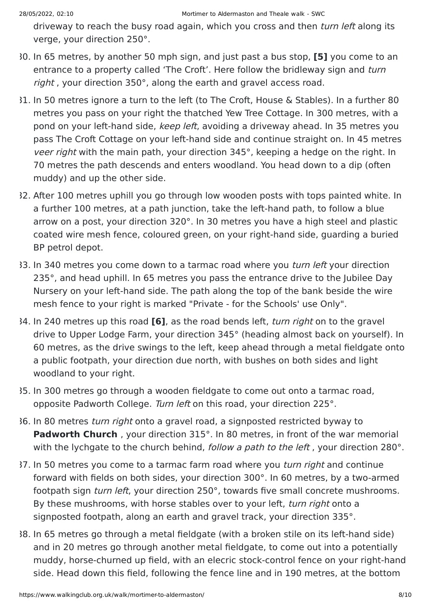driveway to reach the busy road again, which you cross and then *turn left* along its verge, your direction 250°.

- 30. In 65 metres, by another 50 mph sign, and just past a bus stop, **[5]** you come to an entrance to a property called 'The Croft'. Here follow the bridleway sign and turn right, your direction 350°, along the earth and gravel access road.
- 31. In 50 metres ignore a turn to the left (to The Croft, House & Stables). In a further 80 metres you pass on your right the thatched Yew Tree Cottage. In 300 metres, with a pond on your left-hand side, keep left, avoiding a driveway ahead. In 35 metres you pass The Croft Cottage on your left-hand side and continue straight on. In 45 metres veer right with the main path, your direction 345°, keeping a hedge on the right. In 70 metres the path descends and enters woodland. You head down to a dip (often muddy) and up the other side.
- 32. After 100 metres uphill you go through low wooden posts with tops painted white. In a further 100 metres, at a path junction, take the left-hand path, to follow a blue arrow on a post, your direction 320°. In 30 metres you have a high steel and plastic coated wire mesh fence, coloured green, on your right-hand side, guarding a buried BP petrol depot.
- 33. In 340 metres you come down to a tarmac road where you *turn left* your direction 235°, and head uphill. In 65 metres you pass the entrance drive to the Jubilee Day Nursery on your left-hand side. The path along the top of the bank beside the wire mesh fence to your right is marked "Private - for the Schools' use Only".
- 34. In 240 metres up this road **[6]**, as the road bends left, turn right on to the gravel drive to Upper Lodge Farm, your direction 345° (heading almost back on yourself). In 60 metres, as the drive swings to the left, keep ahead through a metal fieldgate onto a public footpath, your direction due north, with bushes on both sides and light woodland to your right.
- 35. In 300 metres go through a wooden fieldgate to come out onto a tarmac road, opposite Padworth College. Turn left on this road, your direction 225°.
- 36. In 80 metres turn right onto a gravel road, a signposted restricted byway to **Padworth Church**, your direction 315°. In 80 metres, in front of the war memorial with the lychgate to the church behind, *follow a path to the left*, your direction 280°.
- 37. In 50 metres you come to a tarmac farm road where you turn right and continue forward with fields on both sides, your direction 300°. In 60 metres, by a two-armed footpath sign turn left, your direction 250°, towards five small concrete mushrooms. By these mushrooms, with horse stables over to your left, turn right onto a signposted footpath, along an earth and gravel track, your direction 335°.
- 38. In 65 metres go through a metal fieldgate (with a broken stile on its left-hand side) and in 20 metres go through another metal fieldgate, to come out into a potentially muddy, horse-churned up field, with an elecric stock-control fence on your right-hand side. Head down this field, following the fence line and in 190 metres, at the bottom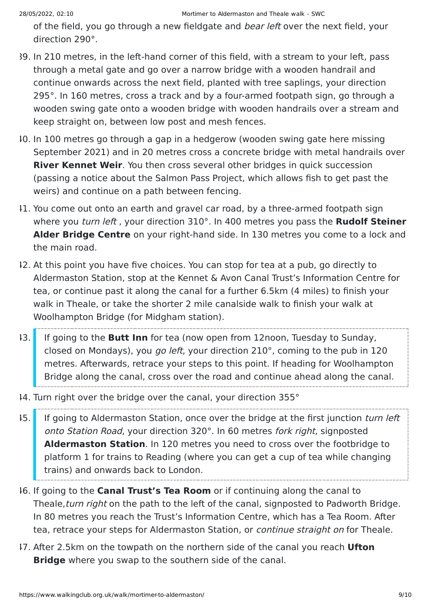of the field, you go through a new fieldgate and bear left over the next field, your direction 290°.

- 39. In 210 metres, in the left-hand corner of this field, with a stream to your left, pass through a metal gate and go over a narrow bridge with a wooden handrail and continue onwards across the next field, planted with tree saplings, your direction 295°. In 160 metres, cross a track and by a four-armed footpath sign, go through a wooden swing gate onto a wooden bridge with wooden handrails over a stream and keep straight on, between low post and mesh fences.
- 40. In 100 metres go through a gap in a hedgerow (wooden swing gate here missing September 2021) and in 20 metres cross a concrete bridge with metal handrails over **River Kennet Weir**. You then cross several other bridges in quick succession (passing a notice about the Salmon Pass Project, which allows fish to get past the weirs) and continue on a path between fencing.
- 41. You come out onto an earth and gravel car road, by a three-armed footpath sign where you turn left , your direction 310°. In 400 metres you pass the **Rudolf Steiner Alder Bridge Centre** on your right-hand side. In 130 metres you come to a lock and the main road.
- 42. At this point you have five choices. You can stop for tea at a pub, go directly to Aldermaston Station, stop at the Kennet & Avon Canal Trust's Information Centre for tea, or continue past it along the canal for a further 6.5km (4 miles) to finish your walk in Theale, or take the shorter 2 mile canalside walk to finish your walk at Woolhampton Bridge (for Midgham station).
- 43. If going to the **Butt Inn** for tea (now open from 12noon, Tuesday to Sunday, closed on Mondays), you go left, your direction 210°, coming to the pub in 120 metres. Afterwards, retrace your steps to this point. If heading for Woolhampton Bridge along the canal, cross over the road and continue ahead along the canal.
- 44. Turn right over the bridge over the canal, your direction 355°
- 45. If going to Aldermaston Station, once over the bridge at the first junction turn left onto Station Road, your direction 320°. In 60 metres fork right, signposted **Aldermaston Station**. In 120 metres you need to cross over the footbridge to platform 1 for trains to Reading (where you can get a cup of tea while changing trains) and onwards back to London.
- 46. If going to the **Canal Trust's Tea Room** or if continuing along the canal to Theale, turn right on the path to the left of the canal, signposted to Padworth Bridge. In 80 metres you reach the Trust's Information Centre, which has a Tea Room. After tea, retrace your steps for Aldermaston Station, or *continue straight on* for Theale.
- 47. After 2.5km on the towpath on the northern side of the canal you reach **Ufton Bridge** where you swap to the southern side of the canal.